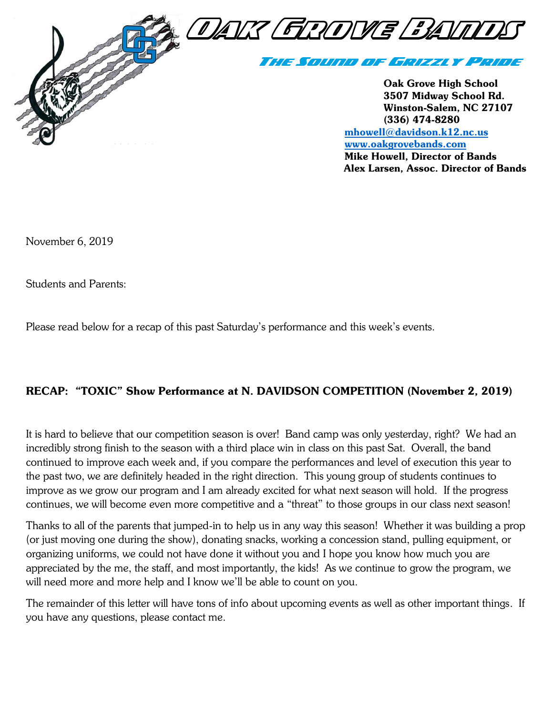

[www.oakgrovebands.com](http://www.oakgrovebands.com/) Mike Howell, Director of Bands Alex Larsen, Assoc. Director of Bands

November 6, 2019

Students and Parents:

Please read below for a recap of this past Saturday's performance and this week's events.

#### RECAP: "TOXIC" Show Performance at N. DAVIDSON COMPETITION (November 2, 2019)

It is hard to believe that our competition season is over! Band camp was only yesterday, right? We had an incredibly strong finish to the season with a third place win in class on this past Sat. Overall, the band continued to improve each week and, if you compare the performances and level of execution this year to the past two, we are definitely headed in the right direction. This young group of students continues to improve as we grow our program and I am already excited for what next season will hold. If the progress continues, we will become even more competitive and a "threat" to those groups in our class next season!

Thanks to all of the parents that jumped-in to help us in any way this season! Whether it was building a prop (or just moving one during the show), donating snacks, working a concession stand, pulling equipment, or organizing uniforms, we could not have done it without you and I hope you know how much you are appreciated by the me, the staff, and most importantly, the kids! As we continue to grow the program, we will need more and more help and I know we'll be able to count on you.

The remainder of this letter will have tons of info about upcoming events as well as other important things. If you have any questions, please contact me.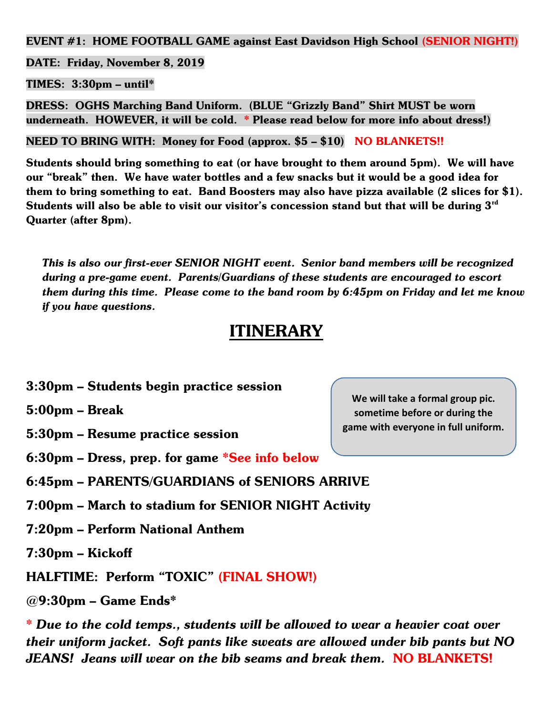EVENT #1: HOME FOOTBALL GAME against East Davidson High School (SENIOR NIGHT!)

DATE: Friday, November 8, 2019

 $TIMES: 3:30pm - until*$ 

DRESS: OGHS Marching Band Uniform. (BLUE "Grizzly Band" Shirt MUST be worn underneath. HOWEVER, it will be cold. \* Please read below for more info about dress!)

NEED TO BRING WITH: Money for Food (approx. \$5 – \$10) NO BLANKETS!!

Students should bring something to eat (or have brought to them around 5pm). We will have our "break" then. We have water bottles and a few snacks but it would be a good idea for them to bring something to eat. Band Boosters may also have pizza available (2 slices for \$1). Students will also be able to visit our visitor's concession stand but that will be during  $3^{\text{rd}}$ Quarter (after 8pm).

*This is also our first-ever SENIOR NIGHT event. Senior band members will be recognized during a pre-game event. Parents/Guardians of these students are encouraged to escort them during this time. Please come to the band room by 6:45pm on Friday and let me know if you have questions.*

# **ITINERARY**

3:30pm – Students begin practice session

5:00pm – Break

5:30pm – Resume practice session

6:30pm – Dress, prep. for game \*See info below

6:45pm – PARENTS/GUARDIANS of SENIORS ARRIVE

- 7:00pm March to stadium for SENIOR NIGHT Activity
- 7:20pm Perform National Anthem

7:30pm – Kickoff

HALFTIME: Perform "TOXIC" (FINAL SHOW!)

@9:30pm – Game Ends\*

*\* Due to the cold temps., students will be allowed to wear a heavier coat over their uniform jacket. Soft pants like sweats are allowed under bib pants but NO JEANS! Jeans will wear on the bib seams and break them.* NO BLANKETS!

**We will take a formal group pic. sometime before or during the game with everyone in full uniform.**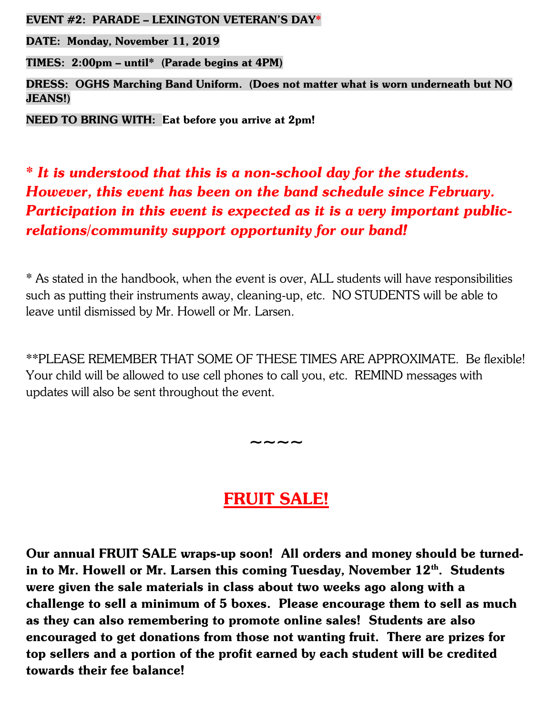EVENT #2: PARADE – LEXINGTON VETERAN'S DAY\*

DATE: Monday, November 11, 2019

TIMES: 2:00pm – until\* (Parade begins at 4PM)

DRESS: OGHS Marching Band Uniform. (Does not matter what is worn underneath but NO JEANS!)

NEED TO BRING WITH: Eat before you arrive at 2pm!

### *\* It is understood that this is a non-school day for the students. However, this event has been on the band schedule since February. Participation in this event is expected as it is a very important publicrelations/community support opportunity for our band!*

\* As stated in the handbook, when the event is over, ALL students will have responsibilities such as putting their instruments away, cleaning-up, etc. NO STUDENTS will be able to leave until dismissed by Mr. Howell or Mr. Larsen.

\*\*PLEASE REMEMBER THAT SOME OF THESE TIMES ARE APPROXIMATE. Be flexible! Your child will be allowed to use cell phones to call you, etc. REMIND messages with updates will also be sent throughout the event.

## FRUIT SALE!

~~~~

Our annual FRUIT SALE wraps-up soon! All orders and money should be turnedin to Mr. Howell or Mr. Larsen this coming Tuesday, November  $12<sup>th</sup>$ . Students were given the sale materials in class about two weeks ago along with a challenge to sell a minimum of 5 boxes. Please encourage them to sell as much as they can also remembering to promote online sales! Students are also encouraged to get donations from those not wanting fruit. There are prizes for top sellers and a portion of the profit earned by each student will be credited towards their fee balance!